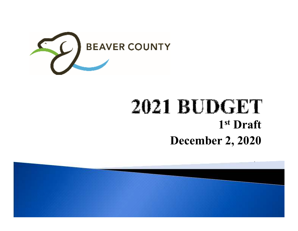

# **2021 BUDGET 1st DraftDecember 2, 2020**

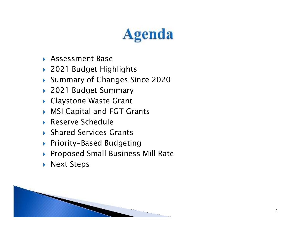# **Agenda**

- Assessment Base
- 2021 Budget Highlights
- ▶ Summary of Changes Since 2020
- 2021 Budget Summary
- Claystone Waste Grant
- MSI Capital and FGT Grants
- Reserve Schedule
- ▶ Shared Services Grants
- Priority-Based Budgeting
- Proposed Small Business Mill Rate
- ▶ Next Steps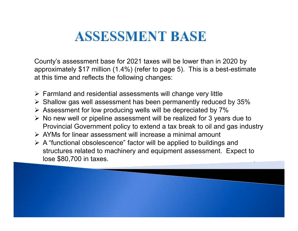### **ASSESSMENT BASE**

County's assessment base for 2021 taxes will be lower than in 2020 by approximately \$17 million (1.4%) (refer to page 5). This is a best-estimate at this time and reflects the following changes:

- > Farmland and residential assessments will change very little<br>
> Shellow ass well assessment bes been permanently reduce
- $\triangleright$  Shallow gas well assessment has been permanently reduced by 35%
- $\triangleright$  Assessment for low producing wells will be depreciated by 7%
- $\triangleright$  No new well or pipeline assessment will be realized for 3 years due to Require in Covernment policy to oxtand a toy brook to oil and goo induct Provincial Government policy to extend a tax break to oil and gas industry
- > AYMs for linear assessment will increase a minimal amount<br>> A "functional abaclessence" factor will be englied to building
- A "functional obsolescence" factor will be applied to buildings and structures related to machinery and equipment assessment. Expect to lose \$80,700 in taxes.

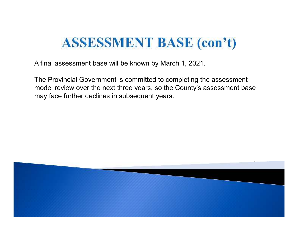### **ASSESSMENT BASE (con't)**

A final assessment base will be known by March 1, 2021.

The Provincial Government is committed to completing the assessment model review over the next three years, so the County's assessment base may face further declines in subsequent years.

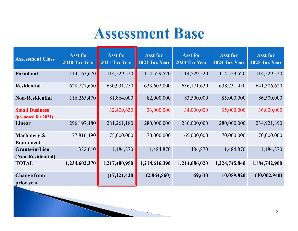# **Assessment Base**

| <b>Assessment Class</b>                      | <b>Asst for</b><br>2020 Tax Year | <b>Asst for</b><br>2021 Tax Year | <b>Asst for</b><br>2022 Tax Year | <b>Asst for</b><br>2023 Tax Year | <b>Asst for</b><br>2024 Tax Year | <b>Asst for</b><br>2025 Tax Year |
|----------------------------------------------|----------------------------------|----------------------------------|----------------------------------|----------------------------------|----------------------------------|----------------------------------|
| Farmland                                     | 114,162,670                      | 114,529,520                      | 114,529,520                      | 114,529,520                      | 114,529,520                      | 114,529,520                      |
| <b>Residential</b>                           | 628,777,650                      | 630,931,750                      | 633,602,000                      | 636,171,630                      | 638,731,450                      | 641,306,620                      |
| <b>Non-Residential</b>                       | 116,265,470                      | 81,864,000                       | 82,000,000                       | 83,500,000                       | 85,000,000                       | 86,500,000                       |
| <b>Small Business</b><br>(proposed for 2021) |                                  | 32,409,630                       | 33,000,000                       | 34,000,000                       | 35,000,000                       | 36,000,000                       |
| Linear                                       | 296,197,480                      | 281,261,180                      | 280,000,000                      | 280,000,000                      | 280,000,000                      | 234,921,890                      |
| Machinery &<br>Equipment                     | 77,816,490                       | 75,000,000                       | 70,000,000                       | 65,000,000                       | 70,000,000                       | 70,000,000                       |
| <b>Grants-in-Lieu</b><br>(Non-Residential)   | 1,382,610                        | 1,484,870                        | 1,484,870                        | 1,484,870                        | 1,484,870                        | 1,484,870                        |
| <b>TOTAL</b>                                 | 1,234,602,370                    | 1,217,480,950                    | 1,214,616,390                    | 1,214,686,020                    | 1,224,745,840                    | 1,184,742,900                    |
| <b>Change from</b><br>prior year             |                                  | (17, 121, 420)                   | (2,864,560)                      | 69,630                           | 10,059,820                       | (40,002,940)                     |

 $\sim$  10  $\mu$ 

м.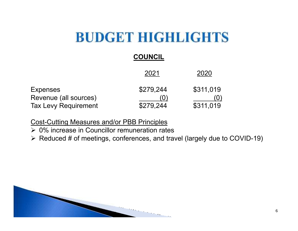### **COUNCIL**

|                                                                         | 2021                   | 2020                             |
|-------------------------------------------------------------------------|------------------------|----------------------------------|
| <b>Expenses</b><br>Revenue (all sources)<br><b>Tax Levy Requirement</b> | \$279,244<br>\$279,244 | \$311,019<br>$\cup$<br>\$311,019 |

#### Cost-Cutting Measures and/or PBB Principles

- $\geq 0\%$  increase in Councillor remuneration rates
- $\triangleright$  Reduced # of meetings, conferences, and travel (largely due to COVID-19)

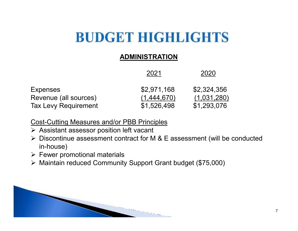#### **ADMINISTRATION**

|                             | 2021        | 2020        |
|-----------------------------|-------------|-------------|
| <b>Expenses</b>             | \$2,971,168 | \$2,324,356 |
| Revenue (all sources)       | (1,444,670) | (1,031,280) |
| <b>Tax Levy Requirement</b> | \$1,526,498 | \$1,293,076 |

Cost-Cutting Measures and/or PBB Principles

- ▶ Assistant assessor position left vacant<br>N Diesentinue assessment contract for **N**
- ▶ Discontinue assessment contract for M & E assessment (will be conducted in bouse) in-house)
- > Fewer promotional materials
- Maintain reduced Community Support Grant budget (\$75,000)

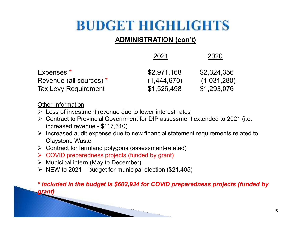### **ADMINISTRATION (con't)**

|                         | 2021        | 2020        |
|-------------------------|-------------|-------------|
| Expenses *              | \$2,971,168 | \$2,324,356 |
| Revenue (all sources) * | (1,444,670) | (1,031,280) |
| Tax Levy Requirement    | \$1,526,498 | \$1,293,076 |

Other Information

- > Loss of investment revenue due to lower interest rates
- ► Contract to Provincial Government for DIP assessment extended to 2021 (i.e. increased revenue - \$117,310)
- ▶ Increased audit expense due to new financial statement requirements related to <br>Clavatore Wests Claystone Waste
- > Contract for farmland polygons (assessment-related)
- > COVID preparedness projects (funded by grant)
- → Municipal intern (May to December)<br>
トリエリルte 2021 hudget for municipal
- $\triangleright$  NEW to 2021 budget for municipal election (\$21,405)

*\* Included in the budget is \$602,934 for COVID preparedness projects (funded by grant)*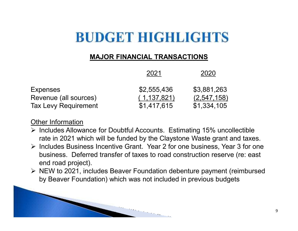#### **MAJOR FINANCIAL TRANSACTIONS**

|                             | 2021          | 2020        |
|-----------------------------|---------------|-------------|
| <b>Expenses</b>             | \$2,555,436   | \$3,881,263 |
| Revenue (all sources)       | (1, 137, 821) | (2,547,158) |
| <b>Tax Levy Requirement</b> | \$1,417,615   | \$1,334,105 |

#### Other Information

- Includes Allowance for Doubtful Accounts. Estimating 15% uncollectible <a> rate in 2021 which will be funded by the Claystone Waste grant and taxes.
- Includes Business Incentive Grant. Year 2 for one business, Year 3 for one<br>business. Deferred transfer of toyes to read construction reserve (rej cost business. Deferred transfer of taxes to road construction reserve (re: east end road project).
- ▶ NEW to 2021, includes Beaver Foundation debenture payment (reimbursed > NEW to 2021, includes Beaver Foundation) by Beaver Foundation) which was not included in previous budgets

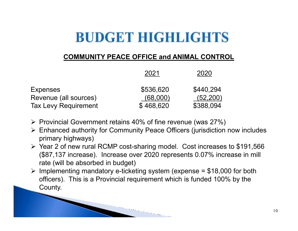### **COMMUNITY PEACE OFFICE and ANIMAL CONTROL**

|                             | 2021      | 2020      |
|-----------------------------|-----------|-----------|
| <b>Expenses</b>             | \$536,620 | \$440,294 |
| Revenue (all sources)       | (68,000)  | (52,200)  |
| <b>Tax Levy Requirement</b> | \$468,620 | \$388,094 |

- ▶ Provincial Government retains 40% of fine revenue (was 27%)<br>▶ Enhanced authority for Community Decea Officers (iuriodistion
- ► Enhanced authority for Community Peace Officers (jurisdiction now includes<br>nrimery highuave) primary highways)
- → Year 2 of new rural RCMP cost-sharing model. Cost increases to \$191,566 (\$87,137 increase). Increase over 2020 represents 0.07% increase in mill rate (will be absorbed in budget)
- Implementing mandatory e-ticketing system (expense =  $$18,000$  for both  $\epsilon$  of increase). This is a Provincial requirement which is funded 100% by the officers). This is a Provincial requirement which is funded 100% by the County.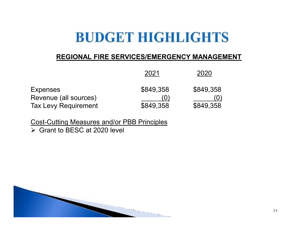#### **REGIONAL FIRE SERVICES/EMERGENCY MANAGEMENT**

|                             | 2021      | 2020                |
|-----------------------------|-----------|---------------------|
| <b>Expenses</b>             | \$849.358 | \$849,358           |
| Revenue (all sources)       | [0]       | $\langle 0 \rangle$ |
| <b>Tax Levy Requirement</b> | \$849,358 | \$849,358           |

Cost-Cutting Measures and/or PBB Principles

Grant to BESC at 2020 level

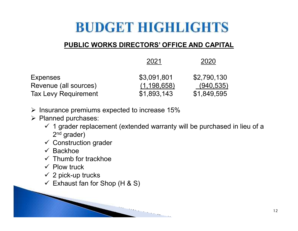### **PUBLIC WORKS DIRECTORS' OFFICE AND CAPITAL**

|                             | 2021          | 2020        |
|-----------------------------|---------------|-------------|
| <b>Expenses</b>             | \$3,091,801   | \$2,790,130 |
| Revenue (all sources)       | (1, 198, 658) | (940, 535)  |
| <b>Tax Levy Requirement</b> | \$1,893,143   | \$1,849,595 |

- $\triangleright$  Insurance premiums expected to increase 15%
- $\triangleright$  Planned purchases:
	- $\checkmark$  1 grader replacement (extended warranty will be purchased in lieu of a 2nd are dex) 2<sup>nd</sup> grader)

- **✓ Construction grader**
- ✓ Backhoe<br>✓ Thumh f
- **✓** Thumb for trackhoe
- $\checkmark$  Plow truck
- $\times$  2 pick-up trucks
- $\checkmark$  Exhaust fan for Shop (H & S)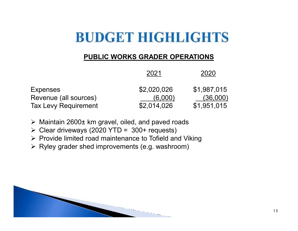### **PUBLIC WORKS GRADER OPERATIONS**

|                             | 2021        | 2020        |
|-----------------------------|-------------|-------------|
| <b>Expenses</b>             | \$2,020,026 | \$1,987,015 |
| Revenue (all sources)       | (6,000)     | (36,000)    |
| <b>Tax Levy Requirement</b> | \$2,014,026 | \$1,951,015 |

Maintain 2600± km gravel, oiled, and paved roads

- ► Clear driveways (2020 YTD = 300+ requests)<br>► Previde limited read maintenance to Tefield an
- > Provide limited road maintenance to Tofield and Viking
- $\triangleright$  Ryley grader shed improvements (e.g. washroom)

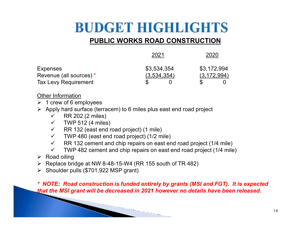### **PUBLIC WORKS ROAD CONSTRUCTION**

| 2021                       | 2020                         |
|----------------------------|------------------------------|
| \$3,534,354<br>(3,534,354) | \$3,172,994<br>(3, 172, 994) |
|                            |                              |

Other Information

 $\geq 1$  crew of 6 employees

Apply hard surface (terracem) to 6 miles plus east end road project<br>(3 miles)

- $\checkmark$ RR 202 (2 miles)
- $\checkmark$  TWP 512 (4 miles)
- $\checkmark$  RR 132 (east end road project) (1 mile)
- $\checkmark$  TWP 480 (east end road project) (1/2 mile)
- $\checkmark$ RR 132 cement and chip repairs on east end road project (1/4 mile)

- $\checkmark$ TWP 482 cement and chip repairs on east end road project (1/4 mile)
- $\triangleright$  Road oiling
- $\triangleright$  Replace bridge at NW 8-48-15-W4 (RR 155 south of TR 482)<br>  $\triangleright$  Shoulder pulls (\$704,022 MSD srept)
- $\triangleright$  Shoulder pulls (\$701,922 MSP grant)

*\* NOTE: Road construction is funded entirely by grants (MSI and FGT). It is expected that the MSI grant will be decreased in 2021 however no details have been released.*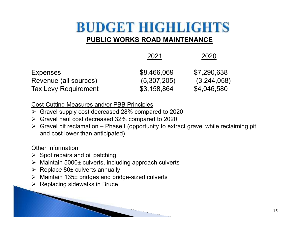### **PUBLIC WORKS ROAD MAINTENANCE**

|                       | 2021        | 2020        |
|-----------------------|-------------|-------------|
| Expenses              | \$8,466,069 | \$7,290,638 |
| Revenue (all sources) | (5,307,205) | (3,244,058) |
| Tax Levy Requirement  | \$3,158,864 | \$4,046,580 |
|                       |             |             |

Cost-Cutting Measures and/or PBB Principles

- Gravel supply cost decreased 28% compared to 2020
- Gravel haul cost decreased 32% compared to 2020
- $\blacktriangleright$  Gravel pit reclamation – Phase I (opportunity to extract gravel while reclaiming pit and cost lower than anticipated)

Other Information

- ▶ Spot repairs and oil patching<br>▷ Maintain 5000 Laulverte, inel
- ▶ Maintain 5000± culverts, including approach culverts<br>▷ Replace 80+ culverte appually
- ▶ Replace 80± culverts annually
- Maintain 135± bridges and bridge-sized culverts
- **➢ Replacing sidewalks in Bruce**<br>□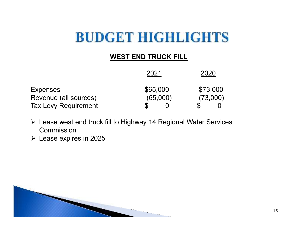### **WEST END TRUCK FILL**

|                                          | 2021                 | 2020                 |
|------------------------------------------|----------------------|----------------------|
| <b>Expenses</b><br>Revenue (all sources) | \$65,000<br>(65,000) | \$73,000<br>(73,000) |
| <b>Tax Levy Requirement</b>              |                      |                      |

- Lease west end truck fill to Highway 14 Regional Water Services Commission
- $\triangleright$  Lease expires in 2025

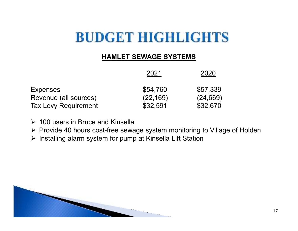#### **HAMLET SEWAGE SYSTEMS**

|                             | 2021      | 2020      |  |  |
|-----------------------------|-----------|-----------|--|--|
| <b>Expenses</b>             | \$54,760  | \$57,339  |  |  |
| Revenue (all sources)       | (22, 169) | (24, 669) |  |  |
| <b>Tax Levy Requirement</b> | \$32,591  | \$32,670  |  |  |

- $\geq 100$  users in Bruce and Kinsella
- ▶ Provide 40 hours cost-free sewage system monitoring to Village of Holden<br>▷ lpstelling clarm ovetom for nump of Kincelle Lift Stetion
- $\triangleright$  Installing alarm system for pump at Kinsella Lift Station

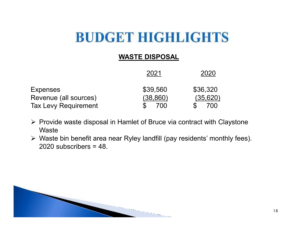### **WASTE DISPOSAL**

|                             | 2021      | 2020     |  |  |
|-----------------------------|-----------|----------|--|--|
| <b>Expenses</b>             | \$39,560  | \$36,320 |  |  |
| Revenue (all sources)       | (38, 860) | (35,620) |  |  |
| <b>Tax Levy Requirement</b> | 700       | 700      |  |  |

- ► Provide waste disposal in Hamlet of Bruce via contract with Claystone **Waste**
- $\triangleright$  Waste bin benefit area near Ryley landfill (pay residents' monthly fees).<br>2020 aubesribere = 48 2020 subscribers  $= 48$ .

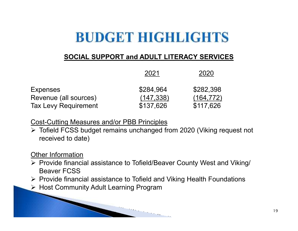### **SOCIAL SUPPORT and ADULT LITERACY SERVICES**

|                                                      | 2021                    | 2020                    |  |  |
|------------------------------------------------------|-------------------------|-------------------------|--|--|
| <b>Expenses</b>                                      | \$284,964               | \$282,398               |  |  |
| Revenue (all sources)<br><b>Tax Levy Requirement</b> | (147, 338)<br>\$137,626 | (164, 772)<br>\$117,626 |  |  |
|                                                      |                         |                         |  |  |

Cost-Cutting Measures and/or PBB Principles

> Tofield FCSS budget remains unchanged from 2020 (Viking request not received to date)

#### Other Information

 Provide financial assistance to Tofield/Beaver County West and Viking/ Beaver FCSS

- ▶ Provide financial assistance to Tofield and Viking Health Foundations<br>▷ Heat Community Adult Learning Pregram
- Host Community Adult Learning Program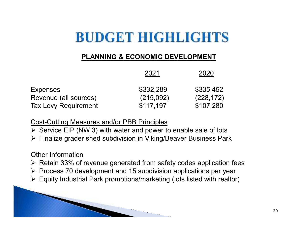### **PLANNING & ECONOMIC DEVELOPMENT**

|                             | 2021      | 2020       |  |  |
|-----------------------------|-----------|------------|--|--|
| <b>Expenses</b>             | \$332,289 | \$335,452  |  |  |
| Revenue (all sources)       | (215,092) | (228, 172) |  |  |
| <b>Tax Levy Requirement</b> | \$117,197 | \$107,280  |  |  |

Cost-Cutting Measures and/or PBB Principles

- Service EIP (NW 3) with water and power to enable sale of lots<br>
Survice are derived aubdivision in Viking Peaver Business Rev
- Finalize grader shed subdivision in Viking/Beaver Business Park

#### Other Information

- $\triangleright$  Retain 33% of revenue generated from safety codes application fees
- ▶ Process 70 development and 15 subdivision applications per year<br>▷ Equity Industrial Dark premations/marketing (late listed with realtar
- $\triangleright$  Equity Industrial Park promotions/marketing (lots listed with realtor)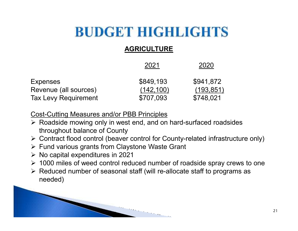### **AGRICULTURE**

|                             | 2021       | 2020       |  |  |
|-----------------------------|------------|------------|--|--|
| <b>Expenses</b>             | \$849,193  | \$941,872  |  |  |
| Revenue (all sources)       | (142, 100) | (193, 851) |  |  |
| <b>Tax Levy Requirement</b> | \$707,093  | \$748,021  |  |  |

Cost-Cutting Measures and/or PBB Principles

- ▶ Roadside mowing only in west end, and on hard-surfaced roadsides throughout belance of County throughout balance of County
- > Contract flood control (beaver control for County-related infrastructure only)
- ▶ Fund various grants from Claystone Waste Grant<br>▷ Ne conital expenditures in 2021
- $\triangleright$  No capital expenditures in 2021
- $\geq$  1000 miles of weed control reduced number of roadside spray crews to one
- Reduced number of seasonal staff (will re-allocate staff to programs as needed)

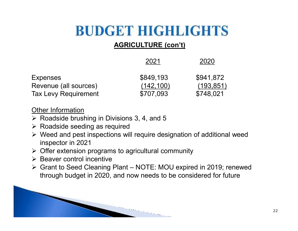### **AGRICULTURE (con't)**

|                                          | 2021                    | 2020                    |  |  |
|------------------------------------------|-------------------------|-------------------------|--|--|
| <b>Expenses</b><br>Revenue (all sources) | \$849,193<br>(142, 100) | \$941,872<br>(193, 851) |  |  |
| <b>Tax Levy Requirement</b>              | \$707,093               | \$748,021               |  |  |

Other Information

- $\triangleright$  Roadside brushing in Divisions 3, 4, and 5
- ► Roadside seeding as required<br>► Weed and peet increations with
- ► Weed and pest inspections will require designation of additional weed inspector in 2021
- $\triangleright$  Offer extension programs to agricultural community<br> $\triangleright$  Peaver control incontive
- **► Beaver control incentive**<br>► Crent to Seed Cleaning
- Grant to Seed Cleaning Plant NOTE: MOU expired in 2019; renewed through budget in 2020, and now needs to be considered for future

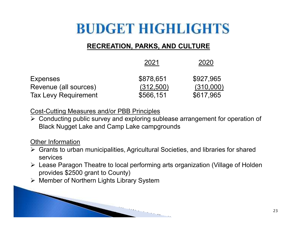### **RECREATION, PARKS, AND CULTURE**

|                             | 2021      | 2020      |  |  |
|-----------------------------|-----------|-----------|--|--|
| <b>Expenses</b>             | \$878,651 | \$927,965 |  |  |
| Revenue (all sources)       | (312,500) | (310,000) |  |  |
| <b>Tax Levy Requirement</b> | \$566,151 | \$617,965 |  |  |

#### Cost-Cutting Measures and/or PBB Principles

Conducting public survey and exploring sublease arrangement for operation of <br>Pleak Nugget Lake and Camp Lake compareunde Black Nugget Lake and Camp Lake campgrounds

#### Other Information

 Grants to urban municipalities, Agricultural Societies, and libraries for shared services

- Lease Paragon Theatre to local performing arts organization (Village of Holden provides \$2500 grant to County)
- Member of Northern Lights Library System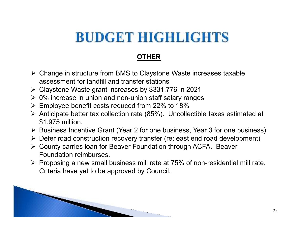### **OTHER**

- > Change in structure from BMS to Claystone Waste increases taxable assessment for landfill and transfer stations
- $\triangleright$  Claystone Waste grant increases by \$331,776 in 2021
- $\geq 0\%$  increase in union and non-union staff salary ranges
- $\triangleright$  Employee benefit costs reduced from 22% to 18%
- Anticipate better tax collection rate (85%). Uncollectible taxes estimated at <a> \$1.975 million.
- ► Business Incentive Grant (Year 2 for one business, Year 3 for one business)<br>
Noter read construction recovery transfer (reveast and read dovelopment)
- > Defer road construction recovery transfer (re: east end road development)
- ► County carries loan for Beaver Foundation through ACFA. Beaver<br>Foundation reimburese Foundation reimburses.
- $\triangleright$  Proposing a new small business mill rate at 75% of non-residential mill rate.<br>Criteria have yet to be approved by Council Criteria have yet to be approved by Council.

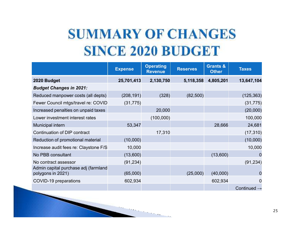# **SUMMARY OF CHANGES SINCE 2020 BUDGET**

|                                                           | <b>Expense</b> | <b>Operating</b><br><b>Revenue</b> | <b>Reserves</b> | <b>Grants &amp;</b><br><b>Other</b> | <b>Taxes</b>            |
|-----------------------------------------------------------|----------------|------------------------------------|-----------------|-------------------------------------|-------------------------|
| 2020 Budget                                               | 25,701,413     | 2,130,750                          | 5,118,358       | 4,805,201                           | 13,647,104              |
| <b>Budget Changes in 2021:</b>                            |                |                                    |                 |                                     |                         |
| Reduced manpower costs (all depts)                        | (208, 191)     | (328)                              | (82, 500)       |                                     | (125, 363)              |
| Fewer Council mtgs/travel re: COVID                       | (31, 775)      |                                    |                 |                                     | (31, 775)               |
| Increased penalties on unpaid taxes                       |                | 20,000                             |                 |                                     | (20,000)                |
| Lower investment interest rates                           |                | (100,000)                          |                 |                                     | 100,000                 |
| <b>Municipal intern</b>                                   | 53,347         |                                    |                 | 28,666                              | 24,681                  |
| Continuation of DIP contract                              |                | 17,310                             |                 |                                     | (17, 310)               |
| Reduction of promotional material                         | (10,000)       |                                    |                 |                                     | (10,000)                |
| Increase audit fees re: Claystone F/S                     | 10,000         |                                    |                 |                                     | 10,000                  |
| No PBB consultant                                         | (13,600)       |                                    |                 | (13,600)                            | $\Omega$                |
| No contract assessor                                      | (91, 234)      |                                    |                 |                                     | (91, 234)               |
| Admin capital purchase adj (farmland<br>polygons in 2021) | (65,000)       |                                    | (25,000)        | (40,000)                            | O                       |
| COVID-19 preparations                                     | 602,934        |                                    |                 | 602,934                             | $\Omega$                |
|                                                           |                |                                    |                 |                                     | Continued $\rightarrow$ |

**STATISTICS**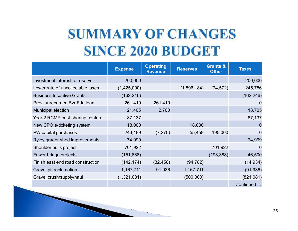# **SUMMARY OF CHANGES SINCE 2020 BUDGET**

|                                   | <b>Expense</b> | <b>Operating</b><br><b>Revenue</b> | <b>Reserves</b> | <b>Grants &amp;</b><br><b>Other</b> | <b>Taxes</b>            |
|-----------------------------------|----------------|------------------------------------|-----------------|-------------------------------------|-------------------------|
| Investment interest to reserve    | 200,000        |                                    |                 |                                     | 200,000                 |
| Lower rate of uncollectable taxes | (1,425,000)    |                                    | (1,596,184)     | (74, 572)                           | 245,756                 |
| <b>Business Incentive Grants</b>  | (162, 246)     |                                    |                 |                                     | (162, 246)              |
| Prev. unrecorded Bvr Fdn Ioan     | 261,419        | 261,419                            |                 |                                     | 0                       |
| <b>Municipal election</b>         | 21,405         | 2,700                              |                 |                                     | 18,705                  |
| Year 2 RCMP cost-sharing contrib. | 87,137         |                                    |                 |                                     | 87,137                  |
| New CPO e-ticketing system        | 18,000         |                                    | 18,000          |                                     | 0                       |
| PW capital purchases              | 243,189        | (7, 270)                           | 55,459          | 195,000                             | 0                       |
| Ryley grader shed improvements    | 74,999         |                                    |                 |                                     | 74,999                  |
| Shoulder pulls project            | 701,922        |                                    |                 | 701,922                             | $\overline{0}$          |
| Fewer bridge projects             | (151, 888)     |                                    |                 | (198, 388)                          | 46,500                  |
| Finish east end road construction | (142, 174)     | (32, 458)                          | (94, 782)       |                                     | (14, 934)               |
| Gravel pit reclamation            | 1,167,711      | 91,936                             | 1,167,711       |                                     | (91, 936)               |
| Gravel crush/supply/haul          | (1,321,081)    |                                    | (500,000)       |                                     | (821,081)               |
|                                   |                |                                    |                 |                                     | Continued $\rightarrow$ |

**STATISTICS**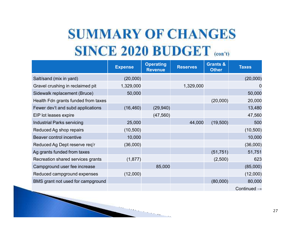# **SUMMARY OF CHANGES SINCE 2020 BUDGET (CON'T)**

|                                     | <b>Expense</b> | <b>Operating</b><br><b>Revenue</b> | <b>Reserves</b> | <b>Grants &amp;</b><br><b>Other</b> | <b>Taxes</b>            |
|-------------------------------------|----------------|------------------------------------|-----------------|-------------------------------------|-------------------------|
| Salt/sand (mix in yard)             | (20,000)       |                                    |                 |                                     | (20,000)                |
| Gravel crushing in reclaimed pit    | 1,329,000      |                                    | 1,329,000       |                                     |                         |
| Sidewalk replacement (Bruce)        | 50,000         |                                    |                 |                                     | 50,000                  |
| Health Fdn grants funded from taxes |                |                                    |                 | (20,000)                            | 20,000                  |
| Fewer dev't and subd applications   | (16, 460)      | (29, 940)                          |                 |                                     | 13,480                  |
| EIP lot leases expire               |                | (47, 560)                          |                 |                                     | 47,560                  |
| <b>Industrial Parks servicing</b>   | 25,000         |                                    | 44,000          | (19,500)                            | 500                     |
| Reduced Ag shop repairs             | (10, 500)      |                                    |                 |                                     | (10, 500)               |
| Beaver control incentive            | 10,000         |                                    |                 |                                     | 10,000                  |
| Reduced Ag Dept reserve req'r       | (36,000)       |                                    |                 |                                     | (36,000)                |
| Ag grants funded from taxes         |                |                                    |                 | (51, 751)                           | 51,751                  |
| Recreation shared services grants   | (1, 877)       |                                    |                 | (2,500)                             | 623                     |
| Campground user fee increase        |                | 85,000                             |                 |                                     | (85,000)                |
| Reduced campground expenses         | (12,000)       |                                    |                 |                                     | (12,000)                |
| BMS grant not used for campground   |                |                                    |                 | (80,000)                            | 80,000                  |
|                                     |                |                                    |                 |                                     | Continued $\rightarrow$ |

**STATISTICS**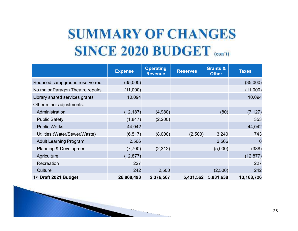# **SUMMARY OF CHANGES SINCE 2020 BUDGET** (con't)

|                                   | <b>Expense</b> | <b>Operating</b><br><b>Revenue</b> | <b>Reserves</b> | <b>Grants &amp;</b><br><b>Other</b> | <b>Taxes</b>   |
|-----------------------------------|----------------|------------------------------------|-----------------|-------------------------------------|----------------|
| Reduced campground reserve req'r  | (35,000)       |                                    |                 |                                     | (35,000)       |
| No major Paragon Theatre repairs  | (11,000)       |                                    |                 |                                     | (11,000)       |
| Library shared services grants    | 10,094         |                                    |                 |                                     | 10,094         |
| Other minor adjustments:          |                |                                    |                 |                                     |                |
| Administration                    | (12, 187)      | (4,980)                            |                 | (80)                                | (7, 127)       |
| <b>Public Safety</b>              | (1, 847)       | (2,200)                            |                 |                                     | 353            |
| <b>Public Works</b>               | 44,042         |                                    |                 |                                     | 44,042         |
| Utilities (Water/Sewer/Waste)     | (6, 517)       | (8,000)                            | (2,500)         | 3,240                               | 743            |
| <b>Adult Learning Program</b>     | 2,566          |                                    |                 | 2,566                               | $\overline{0}$ |
| <b>Planning &amp; Development</b> | (7,700)        | (2,312)                            |                 | (5,000)                             | (388)          |
| Agriculture                       | (12, 877)      |                                    |                 |                                     | (12, 877)      |
| Recreation                        | 227            |                                    |                 |                                     | 227            |
| Culture                           | 242            | 2,500                              |                 | (2,500)                             | 242            |
| 1 <sup>st</sup> Draft 2021 Budget | 26,808,493     | 2,376,567                          | 5,431,562       | 5,831,638                           | 13,168,726     |

 $\cdots$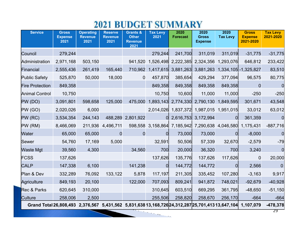### **2021 BUDGET SUMMARY**

| <b>Service</b>                                                                                  | <b>Gross</b><br><b>Expense</b><br>2021 | <b>Operating</b><br><b>Revenue</b><br>2021 | <b>Reserve</b><br><b>Revenue</b><br>2021 | <b>Grants &amp;</b><br><b>Other</b><br><b>Revenue</b> | <b>Tax Levy</b><br>2021 | 2020<br><b>Forecast</b>                                   | 2020<br><b>Gross</b><br><b>Expense</b> | 2020<br><b>Tax Levy</b> | <b>Gross</b><br><b>Expense</b><br>2021-2020 | <b>Tax Levy</b><br>2021-2020 |
|-------------------------------------------------------------------------------------------------|----------------------------------------|--------------------------------------------|------------------------------------------|-------------------------------------------------------|-------------------------|-----------------------------------------------------------|----------------------------------------|-------------------------|---------------------------------------------|------------------------------|
|                                                                                                 |                                        |                                            |                                          | 2021                                                  |                         |                                                           |                                        |                         |                                             |                              |
| Council                                                                                         | 279,244                                |                                            |                                          |                                                       | 279,244                 | 241,700                                                   | 311,019                                | 311,019                 | $-31,775$                                   | $-31,775$                    |
| Administration                                                                                  | 2,971,168                              | 503,150                                    |                                          | 941,520                                               |                         | 1,526,498 2,222,385 2,324,356                             |                                        | 1,293,076               | 646,812                                     | 233,422                      |
| Financial                                                                                       | 2,555,436                              | 261,419                                    | 165,440                                  | 710,962                                               |                         | 1,417,615 3,881,263 3,881,263                             |                                        |                         | 1,334,105 - 1,325,827                       | 83,510                       |
| <b>Public Safety</b>                                                                            | 525,870                                | 50,000                                     | 18,000                                   | $\overline{0}$                                        | 457,870                 | 385,654                                                   | 429,294                                | 377,094                 | 96,575                                      | 80,775                       |
| <b>Fire Protection</b>                                                                          | 849,358                                |                                            |                                          |                                                       | 849,358                 | 849,358                                                   | 849,358                                | 849,358                 | 0                                           |                              |
| <b>Animal Control</b>                                                                           | 10,750                                 |                                            |                                          |                                                       | 10,750                  | 10,600                                                    | 11,000                                 | 11,000                  | $-250$                                      | $-250$                       |
| PW (DO)                                                                                         | 3,091,801                              | 598,658                                    | 125,000                                  |                                                       |                         | 475,000 1,893,143 2,774,330 2,790,130 1,849,595           |                                        |                         | 301,671                                     | 43,548                       |
| PW(GO)                                                                                          | 2,020,026                              | 6,000                                      |                                          |                                                       |                         | 2,014,026 1,837,372 1,987,015 1,951,015                   |                                        |                         | 33,012                                      | 63,012                       |
| PW (RC)                                                                                         | 3,534,354                              | 244,143                                    |                                          | 488,289 2,801,922                                     | 0                       |                                                           | 2,616,753 3,172,994                    | 0l                      | 361,359                                     | $\overline{0}$               |
| PW(RM)                                                                                          | 8,466,069                              | 211,936                                    | 4,496,711                                |                                                       |                         | 598,558 3,158,864 7,185,942 7,290,638 4,046,580 1,175,431 |                                        |                         |                                             | $-887,716$                   |
| Water                                                                                           | 65,000                                 | 65,000                                     | $\overline{0}$                           | $\Omega$                                              | <sup>O</sup>            | 73,000                                                    | 73,000                                 | 0l                      | $-8,000$                                    | 0                            |
| Sewer                                                                                           | 54,760                                 | 17,169                                     | 5,000                                    |                                                       | 32,591                  | 50,506                                                    | 57,339                                 | 32,670                  | $-2,579$                                    | $-79$                        |
| <b>Waste Mgt</b>                                                                                | 39,560                                 | 4,300                                      |                                          | 34,560                                                | 700                     | 20,000                                                    | 36,320                                 | 700                     | 3,240                                       | $\overline{0}$               |
| FCSS                                                                                            | 137,626                                |                                            |                                          |                                                       | 137,626                 | 135,776                                                   | 137,626                                | 117,626                 | 0                                           | 20,000                       |
| <b>CALP</b>                                                                                     | 147,338                                | 6,100                                      |                                          | 141,238                                               | <sup>O</sup>            | 144,772                                                   | 144,772                                | 0l                      | 2,566                                       | $\overline{0}$               |
| Plan & Dev                                                                                      | 332,289                                | 76,092                                     | 133,122                                  | 5,878                                                 | 117,197                 | 211,305                                                   | 335,452                                | 107,280                 | $-3,163$                                    | 9,917                        |
| Agriculture                                                                                     | 849,193                                | 20,100                                     |                                          | 122,000                                               | 707,093                 | 809,241                                                   | 941,872                                | 748,021                 | $-92,679$                                   | $-40,928$                    |
| Rec & Parks                                                                                     | 620,645                                | 310,000                                    |                                          |                                                       | 310,645                 | 603,510                                                   | 669,295                                | 361,795                 | $-48,650$                                   | $-51,150$                    |
| <b>Culture</b>                                                                                  | 258,006                                | 2,500                                      |                                          |                                                       | 255,506                 | 258,820                                                   | 258,670                                | 256,170                 | $-664$                                      | $-664$                       |
| Grand Total 26,808,493 2,376,567 5,431,562 5,831,63813,168,726 24,312,287 25,701,413 13,647,104 |                                        |                                            |                                          |                                                       |                         |                                                           |                                        |                         | 1,107,079                                   | $-478,378$                   |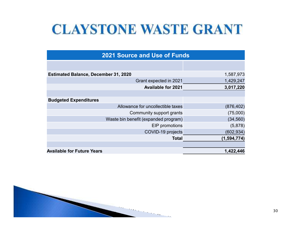# **CLAYSTONE WASTE GRANT**

| <b>2021 Source and Use of Funds</b>         |                                      |             |  |  |  |  |
|---------------------------------------------|--------------------------------------|-------------|--|--|--|--|
|                                             |                                      |             |  |  |  |  |
| <b>Estimated Balance, December 31, 2020</b> | 1,587,973                            |             |  |  |  |  |
|                                             | Grant expected in 2021               | 1,429,247   |  |  |  |  |
|                                             | <b>Available for 2021</b>            | 3,017,220   |  |  |  |  |
|                                             |                                      |             |  |  |  |  |
| <b>Budgeted Expenditures</b>                |                                      |             |  |  |  |  |
|                                             | Allowance for uncollectible taxes    | (876, 402)  |  |  |  |  |
|                                             | (75,000)<br>Community support grants |             |  |  |  |  |
| Waste bin benefit (expanded program)        | (34, 560)                            |             |  |  |  |  |
| EIP promotions                              |                                      | (5,878)     |  |  |  |  |
|                                             | COVID-19 projects                    | (602, 934)  |  |  |  |  |
|                                             | <b>Total</b>                         | (1,594,774) |  |  |  |  |
|                                             |                                      |             |  |  |  |  |
| <b>Available for Future Years</b>           |                                      | 1,422,446   |  |  |  |  |

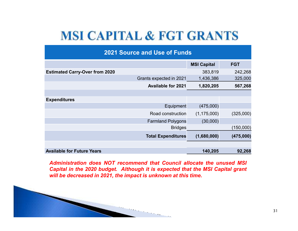### **MSI CAPITAL & FGT GRANTS**

| <b>2021 Source and Use of Funds</b>   |                    |            |  |  |  |  |
|---------------------------------------|--------------------|------------|--|--|--|--|
|                                       | <b>MSI Capital</b> | <b>FGT</b> |  |  |  |  |
| <b>Estimated Carry-Over from 2020</b> | 383,819            | 242,268    |  |  |  |  |
| Grants expected in 2021               | 1,436,386          | 325,000    |  |  |  |  |
| <b>Available for 2021</b>             | 1,820,205          | 567,268    |  |  |  |  |
|                                       |                    |            |  |  |  |  |
| <b>Expenditures</b>                   |                    |            |  |  |  |  |
| Equipment                             | (475,000)          |            |  |  |  |  |
| Road construction                     | (1, 175, 000)      | (325,000)  |  |  |  |  |
| <b>Farmland Polygons</b>              | (30,000)           |            |  |  |  |  |
| <b>Bridges</b>                        |                    | (150,000)  |  |  |  |  |
| <b>Total Expenditures</b>             | (1,680,000)        | (475,000)  |  |  |  |  |
|                                       |                    |            |  |  |  |  |
| <b>Available for Future Years</b>     | 140,205            | 92,268     |  |  |  |  |

*Administration does NOT recommend that Council allocate the unused MSI* Capital in the 2020 budget. Although it is expected that the MSI Capital grant *will be decreased in 2021, the impact is unknown at this time.*

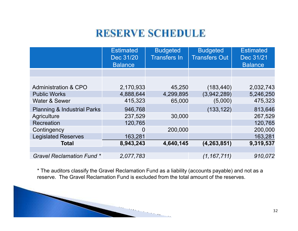### **RESERVE SCHEDULE**

|                                        | <b>Estimated</b><br>Dec 31/20<br><b>Balance</b> | <b>Budgeted</b><br><b>Transfers In</b> | <b>Budgeted</b><br><b>Transfers Out</b> | <b>Estimated</b><br>Dec 31/21<br><b>Balance</b> |
|----------------------------------------|-------------------------------------------------|----------------------------------------|-----------------------------------------|-------------------------------------------------|
|                                        |                                                 |                                        |                                         |                                                 |
|                                        |                                                 |                                        |                                         |                                                 |
| <b>Administration &amp; CPO</b>        | 2,170,933                                       | 45,250                                 | (183, 440)                              | 2,032,743                                       |
| <b>Public Works</b>                    | 4,888,644                                       | 4,299,895                              | (3,942,289)                             | 5,246,250                                       |
| Water & Sewer                          | 415,323                                         | 65,000                                 | (5,000)                                 | 475,323                                         |
| <b>Planning &amp; Industrial Parks</b> | 946,768                                         |                                        | (133, 122)                              | 813,646                                         |
| <b>Agriculture</b>                     | 237,529                                         | 30,000                                 |                                         | 267,529                                         |
| Recreation                             | 120,765                                         |                                        |                                         | 120,765                                         |
| Contingency                            | 0                                               | 200,000                                |                                         | 200,000                                         |
| <b>Legislated Reserves</b>             | 163,281                                         |                                        |                                         | 163,281                                         |
| Total                                  | 8,943,243                                       | 4,640,145                              | (4, 263, 851)                           | 9,319,537                                       |
|                                        |                                                 |                                        |                                         |                                                 |
| <b>Gravel Reclamation Fund *</b>       | 2,077,783                                       |                                        | (1, 167, 711)                           | 910,072                                         |

\* The auditors classify the Gravel Reclamation Fund as a liability (accounts payable) and not as a reserve. The Gravel Reclamation Fund is excluded from the total amount of the reserves.

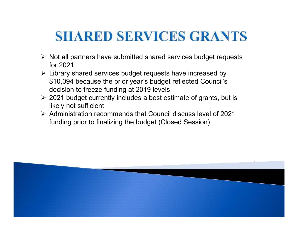### **SHARED SERVICES GRANTS**

- ► Not all partners have submitted shared services budget requests<br>for 2021 for 2021
- ► Library shared services budget requests have increased by<br>شاهدار میده که داده از سال ۱۵۹۵ میلادی و داده و داده و داده و داده از سال ۱۹۹۵ \$10,094 because the prior year's budget reflected Council's decision to freeze funding at 2019 levels
- > 2021 budget currently includes a best estimate of grants, but is likely not eufficient likely not sufficient
- Administration recommends that Council discuss level of 2021 funding prior to finalizing the budget (Closed Session)

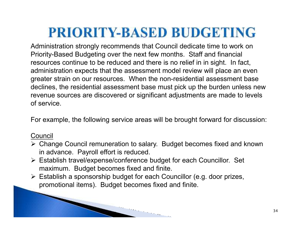Administration strongly recommends that Council dedicate time to work on Priority-Based Budgeting over the next few months. Staff and financial resources continue to be reduced and there is no relief in in sight. In fact, administration expects that the assessment model review will place an even greater strain on our resources. When the non-residential assessment base declines, the residential assessment base must pick up the burden unless new revenue sources are discovered or significant adjustments are made to levels of service.

For example, the following service areas will be brought forward for discussion:

### Council

- > Change Council remuneration to salary. Budget becomes fixed and known in advance. Payroll effort is reduced.
- Establish travel/expense/conference budget for each Councillor. Set maximum. Budget becomes fixed and finite.
- $\blacktriangleright$  Establish a sponsorship budget for each Councillor (e.g. door prizes, promotional items). Budget becomes fixed and finite.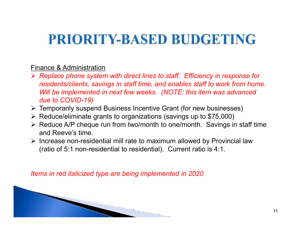#### Finance & Administration

- *Replace phone system with direct lines to staff. Efficiency in response for residents/clients, savings in staff time, and enables staff to work from home. Will be implemented in next few weeks. (NOTE: this item was advanced due to COVID-19)*
- > Temporarily suspend Business Incentive Grant (for new businesses)
- ▶ Reduce/eliminate grants to organizations (savings up to \$75,000)
- ► Reduce A/P cheque run from two/month to one/month. Savings in staff time and Reeve's time.
- Increase non-residential mill rate to maximum allowed by Provincial law  $\triangleright$  lncrease non-residential to residential). Current retio is 4:4 (ratio of 5:1 non-residential to residential). Current ratio is 4:1.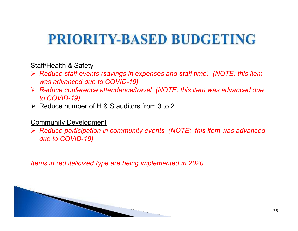#### Staff/Health & Safety

- *Reduce staff events (savings in expenses and staff time) (NOTE: this item was advanced due to COVID-19)*
- *Reduce conference attendance/travel (NOTE: this item was advanced due to COVID-19)*
- $\triangleright$  Reduce number of H & S auditors from 3 to 2

#### **Community Development**

 *Reduce participation in community events (NOTE: this item was advanced due to COVID-19)*

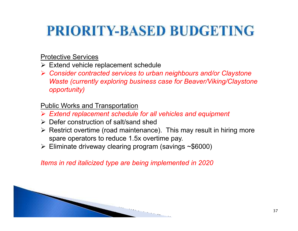#### Protective Services

- Extend vehicle replacement schedule<br>
Consider contracted convices to urber
- *Consider contracted services to urban neighbours and/or Claystone Waste (currently exploring business case for Beaver/Viking/Claystone opportunity)*

### Public Works and Transportation

- *Extend replacement schedule for all vehicles and equipment*
- ▶ Defer construction of salt/sand shed<br>
▷ Beetrist evertime (read maintenance
- $\triangleright$  Restrict overtime (road maintenance). This may result in hiring more spare operators to reduce 1.5x overtime pay.
- Eliminate driveway clearing program (savings ~\$6000)

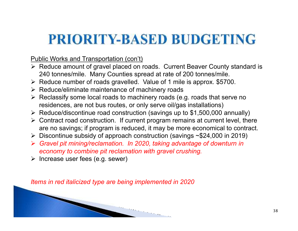### Public Works and Transportation (con't)

- Reduce amount of gravel placed on roads. Current Beaver County standard is <br>240 tennes/mile Many Counties arread at rate of 200 tennes/mile 240 tonnes/mile. Many Counties spread at rate of 200 tonnes/mile.
- $\triangleright$  Reduce number of roads gravelled. Value of 1 mile is approx. \$5700.
- ▶ Reduce/eliminate maintenance of machinery roads<br>▷ Reclassify same local reads to machinery reads (e
- ▶ Reclassify some local roads to machinery roads (e.g. roads that serve no<br>residences are not busing raytes are ply serve ail/ges installations) residences, are not bus routes, or only serve oil/gas installations)
- Reduce/discontinue road construction (savings up to \$1,500,000 annually)
- Contract road construction. If current program remains at current level, there<br>example antipage if program is reduced, it may be mere essenciated to contract are no savings; if program is reduced, it may be more economical to contract.
- ▶ Discontinue subsidy of approach construction (savings ~\$24,000 in 2019)
- *Gravel pit mining/reclamation. In 2020, taking advantage of downturn in economy to combine pit reclamation with gravel crushing.*

 $\triangleright$  Increase user fees (e.g. sewer)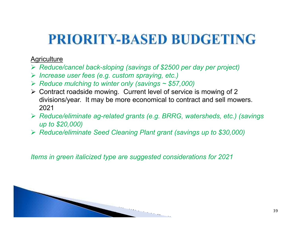#### **Agriculture**

- *Reduce/cancel back-sloping (savings of \$2500 per day per project)*
- *Increase user fees (e.g. custom spraying, etc.)*
- *Reduce mulching to winter only (savings ~ \$57,000)*
- Contract roadside mowing. Current level of service is mowing of 2 divisions/year. It may be more economical to contract and sell mowers. 2021
- *Reduce/eliminate ag-related grants (e.g. BRRG, watersheds, etc.) (savings up to \$20,000)*
- *Reduce/eliminate Seed Cleaning Plant grant (savings up to \$30,000)*

*Items in green italicized type are suggested considerations for 2021*

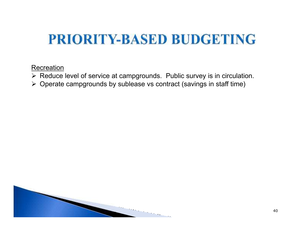**Recreation** 

- > Reduce level of service at campgrounds. Public survey is in circulation.
- $\triangleright$  Operate campgrounds by sublease vs contract (savings in staff time)

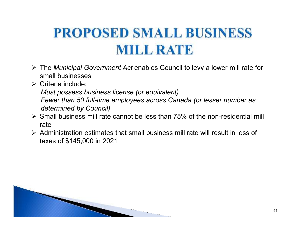# **PROPOSED SMALL BUSINESS MILL RATE**

- The *Municipal Government Act* enables Council to levy a lower mill rate for small businesses
- Criteria include:

*Must possess business license (or equivalent)Fewer than 50 full-time employees across Canada (or lesser number as* 

- *determined by Council)*
- Small business mill rate cannot be less than 75% of the non-residential mill rate
- Administration estimates that small business mill rate will result in loss of <br>to see of \$445,000 in 2024 taxes of \$145,000 in 2021